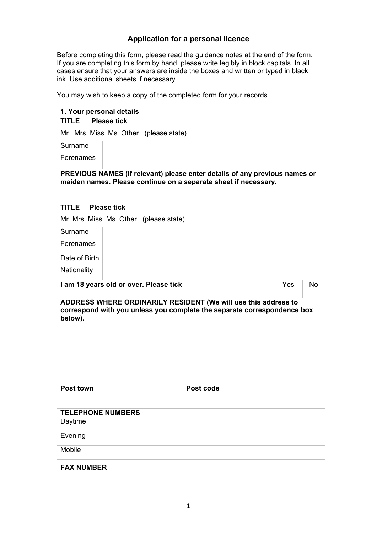## **Application for a personal licence**

Before completing this form, please read the guidance notes at the end of the form. If you are completing this form by hand, please write legibly in block capitals. In all cases ensure that your answers are inside the boxes and written or typed in black ink. Use additional sheets if necessary.

You may wish to keep a copy of the completed form for your records.

| 1. Your personal details                                                                                                                      |                                        |                                                                                                                                           |     |    |
|-----------------------------------------------------------------------------------------------------------------------------------------------|----------------------------------------|-------------------------------------------------------------------------------------------------------------------------------------------|-----|----|
| <b>Please tick</b><br><b>TITLE</b>                                                                                                            |                                        |                                                                                                                                           |     |    |
|                                                                                                                                               | Mr Mrs Miss Ms Other (please state)    |                                                                                                                                           |     |    |
| Surname                                                                                                                                       |                                        |                                                                                                                                           |     |    |
| Forenames                                                                                                                                     |                                        |                                                                                                                                           |     |    |
| PREVIOUS NAMES (if relevant) please enter details of any previous names or<br>maiden names. Please continue on a separate sheet if necessary. |                                        |                                                                                                                                           |     |    |
| <b>TITLE</b><br><b>Please tick</b>                                                                                                            |                                        |                                                                                                                                           |     |    |
|                                                                                                                                               | Mr Mrs Miss Ms Other (please state)    |                                                                                                                                           |     |    |
| Surname                                                                                                                                       |                                        |                                                                                                                                           |     |    |
| Forenames                                                                                                                                     |                                        |                                                                                                                                           |     |    |
| Date of Birth                                                                                                                                 |                                        |                                                                                                                                           |     |    |
| Nationality                                                                                                                                   |                                        |                                                                                                                                           |     |    |
|                                                                                                                                               | I am 18 years old or over. Please tick |                                                                                                                                           | Yes | No |
| below).                                                                                                                                       |                                        | ADDRESS WHERE ORDINARILY RESIDENT (We will use this address to<br>correspond with you unless you complete the separate correspondence box |     |    |
|                                                                                                                                               |                                        |                                                                                                                                           |     |    |
|                                                                                                                                               |                                        |                                                                                                                                           |     |    |
|                                                                                                                                               |                                        |                                                                                                                                           |     |    |
|                                                                                                                                               |                                        |                                                                                                                                           |     |    |
| <b>Post town</b>                                                                                                                              |                                        | Post code                                                                                                                                 |     |    |
|                                                                                                                                               |                                        |                                                                                                                                           |     |    |
| <b>TELEPHONE NUMBERS</b>                                                                                                                      |                                        |                                                                                                                                           |     |    |
| Daytime                                                                                                                                       |                                        |                                                                                                                                           |     |    |
| Evening                                                                                                                                       |                                        |                                                                                                                                           |     |    |
| Mobile                                                                                                                                        |                                        |                                                                                                                                           |     |    |
| <b>FAX NUMBER</b>                                                                                                                             |                                        |                                                                                                                                           |     |    |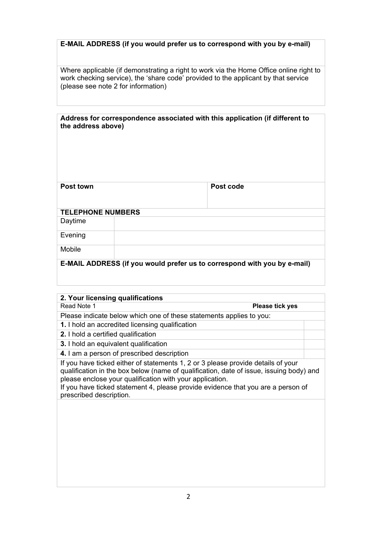## **E-MAIL ADDRESS (if you would prefer us to correspond with you by e-mail)**

Where applicable (if demonstrating a right to work via the Home Office online right to work checking service), the 'share code' provided to the applicant by that service (please see note 2 for information)

| Address for correspondence associated with this application (if different to |  |
|------------------------------------------------------------------------------|--|
| the address above)                                                           |  |

| Post town                | Post code |
|--------------------------|-----------|
|                          |           |
| <b>TELEPHONE NUMBERS</b> |           |
| Daytime                  |           |
| Evening                  |           |

Mobile

**E-MAIL ADDRESS (if you would prefer us to correspond with you by e-mail)** 

| 2. Your licensing qualifications                                                                                                                                                                                                                                                                                                                       |  |  |
|--------------------------------------------------------------------------------------------------------------------------------------------------------------------------------------------------------------------------------------------------------------------------------------------------------------------------------------------------------|--|--|
| Read Note 1<br>Please tick yes                                                                                                                                                                                                                                                                                                                         |  |  |
| Please indicate below which one of these statements applies to you:                                                                                                                                                                                                                                                                                    |  |  |
| 1. I hold an accredited licensing qualification                                                                                                                                                                                                                                                                                                        |  |  |
| <b>2.</b> I hold a certified qualification                                                                                                                                                                                                                                                                                                             |  |  |
| <b>3.</b> I hold an equivalent qualification                                                                                                                                                                                                                                                                                                           |  |  |
| 4. I am a person of prescribed description                                                                                                                                                                                                                                                                                                             |  |  |
| If you have ticked either of statements 1, 2 or 3 please provide details of your<br>qualification in the box below (name of qualification, date of issue, issuing body) and<br>please enclose your qualification with your application.<br>If you have ticked statement 4, please provide evidence that you are a person of<br>prescribed description. |  |  |
|                                                                                                                                                                                                                                                                                                                                                        |  |  |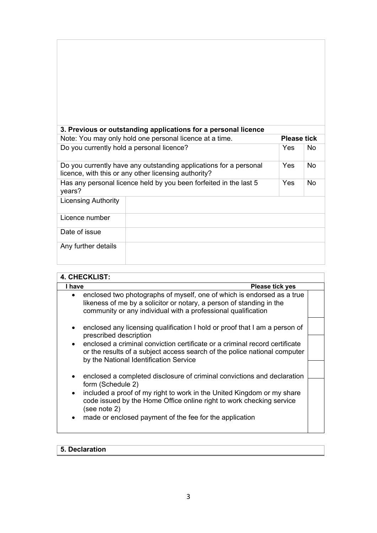| 3. Previous or outstanding applications for a personal licence                                                            |  |            |           |
|---------------------------------------------------------------------------------------------------------------------------|--|------------|-----------|
| Note: You may only hold one personal licence at a time.<br><b>Please tick</b>                                             |  |            |           |
| Do you currently hold a personal licence?                                                                                 |  | Yes.       | No.       |
| Do you currently have any outstanding applications for a personal<br>licence, with this or any other licensing authority? |  | Yes        | <b>No</b> |
| Has any personal licence held by you been forfeited in the last 5<br>years?                                               |  | <b>Yes</b> | No.       |
| <b>Licensing Authority</b>                                                                                                |  |            |           |
| Licence number                                                                                                            |  |            |           |
| Date of issue                                                                                                             |  |            |           |
| Any further details                                                                                                       |  |            |           |

| <b>4. CHECKLIST:</b>                                                                                                                                                                                                         |  |  |  |
|------------------------------------------------------------------------------------------------------------------------------------------------------------------------------------------------------------------------------|--|--|--|
| I have<br>Please tick yes                                                                                                                                                                                                    |  |  |  |
| enclosed two photographs of myself, one of which is endorsed as a true<br>$\bullet$<br>likeness of me by a solicitor or notary, a person of standing in the<br>community or any individual with a professional qualification |  |  |  |
| enclosed any licensing qualification I hold or proof that I am a person of<br>$\bullet$<br>prescribed description                                                                                                            |  |  |  |
| enclosed a criminal conviction certificate or a criminal record certificate<br>$\bullet$<br>or the results of a subject access search of the police national computer<br>by the National Identification Service              |  |  |  |
| enclosed a completed disclosure of criminal convictions and declaration<br>$\bullet$                                                                                                                                         |  |  |  |
| form (Schedule 2)                                                                                                                                                                                                            |  |  |  |
| included a proof of my right to work in the United Kingdom or my share<br>$\bullet$<br>code issued by the Home Office online right to work checking service<br>(see note 2)                                                  |  |  |  |
| made or enclosed payment of the fee for the application<br>$\bullet$                                                                                                                                                         |  |  |  |

# **5. Declaration**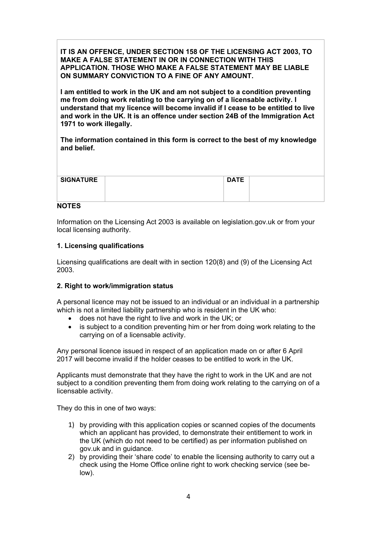**IT IS AN OFFENCE, UNDER SECTION 158 OF THE LICENSING ACT 2003, TO MAKE A FALSE STATEMENT IN OR IN CONNECTION WITH THIS APPLICATION. THOSE WHO MAKE A FALSE STATEMENT MAY BE LIABLE ON SUMMARY CONVICTION TO A FINE OF ANY AMOUNT.** 

**I am entitled to work in the UK and am not subject to a condition preventing me from doing work relating to the carrying on of a licensable activity. I understand that my licence will become invalid if I cease to be entitled to live and work in the UK. It is an offence under section 24B of the Immigration Act 1971 to work illegally.** 

**The information contained in this form is correct to the best of my knowledge and belief.** 

| <b>SIGNATURE</b> | <b>DATE</b> |  |
|------------------|-------------|--|
|                  |             |  |
|                  |             |  |
|                  |             |  |
|                  |             |  |
| $\blacksquare$   |             |  |

#### **NOTES**

 local licensing authority. Information on the Licensing Act 2003 is available on legislation.gov.uk or from your

### **1. Licensing qualifications**

Licensing qualifications are dealt with in section 120(8) and (9) of the Licensing Act 2003.

### **2. Right to work/immigration status**

A personal licence may not be issued to an individual or an individual in a partnership which is not a limited liability partnership who is resident in the UK who:

- does not have the right to live and work in the UK; or
- is subject to a condition preventing him or her from doing work relating to the carrying on of a licensable activity.

Any personal licence issued in respect of an application made on or after 6 April 2017 will become invalid if the holder ceases to be entitled to work in the UK.

Applicants must demonstrate that they have the right to work in the UK and are not subject to a condition preventing them from doing work relating to the carrying on of a licensable activity.

They do this in one of two ways:

- 1) by providing with this application copies or scanned copies of the documents which an applicant has provided, to demonstrate their entitlement to work in the UK (which do not need to be certified) as per information published on gov.uk and in guidance.
- 2) by providing their 'share code' to enable the licensing authority to carry out a check using the Home Office online right to work checking service (see below).